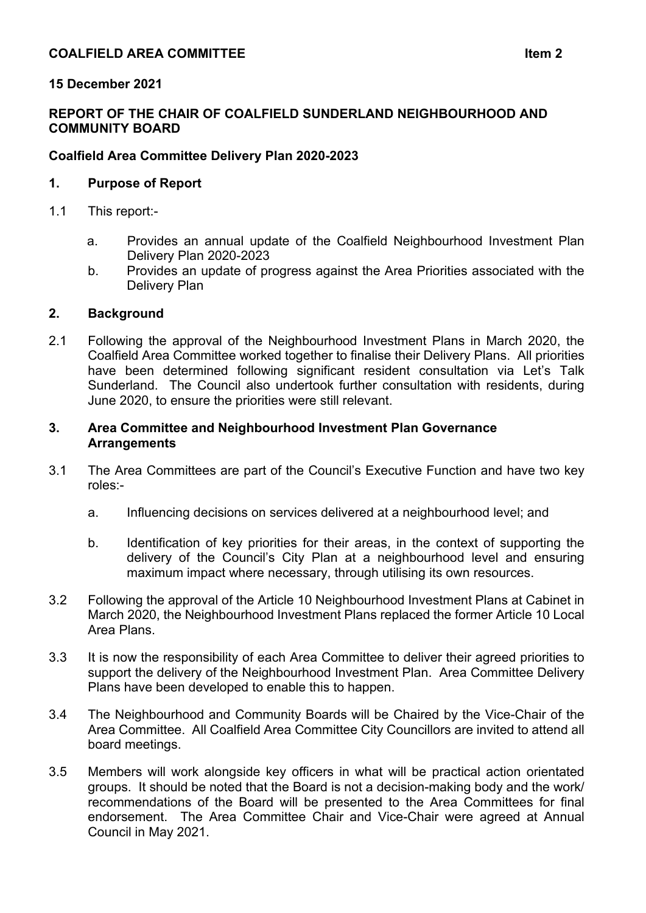# **15 December 2021**

### **REPORT OF THE CHAIR OF COALFIELD SUNDERLAND NEIGHBOURHOOD AND COMMUNITY BOARD**

### **Coalfield Area Committee Delivery Plan 2020-2023**

### **1. Purpose of Report**

- 1.1 This report:
	- a. Provides an annual update of the Coalfield Neighbourhood Investment Plan Delivery Plan 2020-2023
	- b. Provides an update of progress against the Area Priorities associated with the Delivery Plan

### **2. Background**

2.1 Following the approval of the Neighbourhood Investment Plans in March 2020, the Coalfield Area Committee worked together to finalise their Delivery Plans. All priorities have been determined following significant resident consultation via Let's Talk Sunderland. The Council also undertook further consultation with residents, during June 2020, to ensure the priorities were still relevant.

#### **3. Area Committee and Neighbourhood Investment Plan Governance Arrangements**

- 3.1 The Area Committees are part of the Council's Executive Function and have two key roles:
	- a. Influencing decisions on services delivered at a neighbourhood level; and
	- b. Identification of key priorities for their areas, in the context of supporting the delivery of the Council's City Plan at a neighbourhood level and ensuring maximum impact where necessary, through utilising its own resources.
- 3.2 Following the approval of the Article 10 Neighbourhood Investment Plans at Cabinet in March 2020, the Neighbourhood Investment Plans replaced the former Article 10 Local Area Plans.
- 3.3 It is now the responsibility of each Area Committee to deliver their agreed priorities to support the delivery of the Neighbourhood Investment Plan. Area Committee Delivery Plans have been developed to enable this to happen.
- 3.4 The Neighbourhood and Community Boards will be Chaired by the Vice-Chair of the Area Committee. All Coalfield Area Committee City Councillors are invited to attend all board meetings.
- 3.5 Members will work alongside key officers in what will be practical action orientated groups. It should be noted that the Board is not a decision-making body and the work/ recommendations of the Board will be presented to the Area Committees for final endorsement. The Area Committee Chair and Vice-Chair were agreed at Annual Council in May 2021.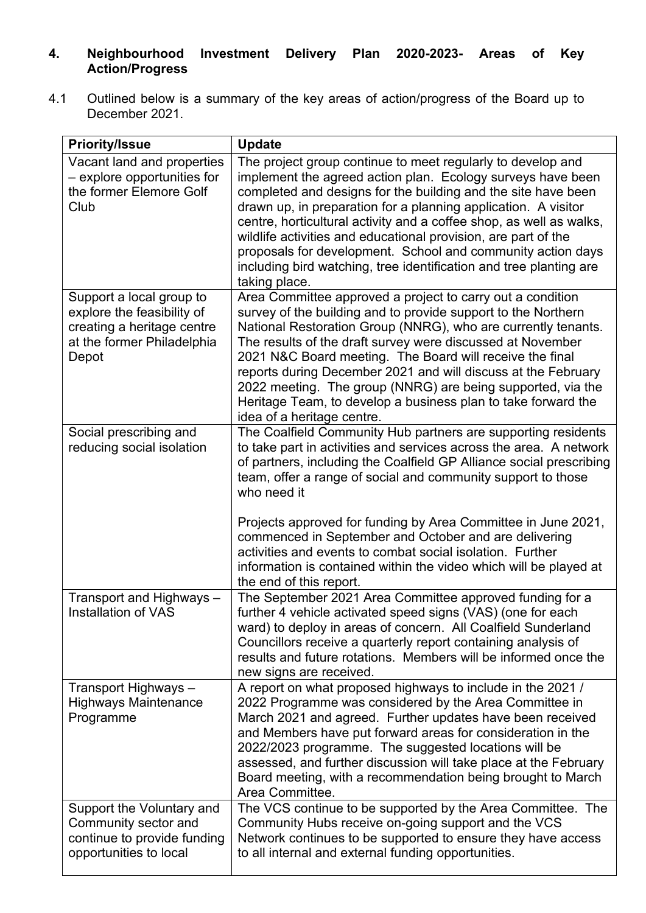# **4. Neighbourhood Investment Delivery Plan 2020-2023- Areas of Key Action/Progress**

4.1 Outlined below is a summary of the key areas of action/progress of the Board up to December 2021.

| <b>Priority/Issue</b>                                                                                                       | <b>Update</b>                                                                                                                                                                                                                                                                                                                                                                                                                                                                                                                                                                    |
|-----------------------------------------------------------------------------------------------------------------------------|----------------------------------------------------------------------------------------------------------------------------------------------------------------------------------------------------------------------------------------------------------------------------------------------------------------------------------------------------------------------------------------------------------------------------------------------------------------------------------------------------------------------------------------------------------------------------------|
| Vacant land and properties<br>- explore opportunities for<br>the former Elemore Golf<br>Club                                | The project group continue to meet regularly to develop and<br>implement the agreed action plan. Ecology surveys have been<br>completed and designs for the building and the site have been<br>drawn up, in preparation for a planning application. A visitor<br>centre, horticultural activity and a coffee shop, as well as walks,<br>wildlife activities and educational provision, are part of the<br>proposals for development. School and community action days<br>including bird watching, tree identification and tree planting are<br>taking place.                     |
| Support a local group to<br>explore the feasibility of<br>creating a heritage centre<br>at the former Philadelphia<br>Depot | Area Committee approved a project to carry out a condition<br>survey of the building and to provide support to the Northern<br>National Restoration Group (NNRG), who are currently tenants.<br>The results of the draft survey were discussed at November<br>2021 N&C Board meeting. The Board will receive the final<br>reports during December 2021 and will discuss at the February<br>2022 meeting. The group (NNRG) are being supported, via the<br>Heritage Team, to develop a business plan to take forward the<br>idea of a heritage centre.                            |
| Social prescribing and<br>reducing social isolation                                                                         | The Coalfield Community Hub partners are supporting residents<br>to take part in activities and services across the area. A network<br>of partners, including the Coalfield GP Alliance social prescribing<br>team, offer a range of social and community support to those<br>who need it<br>Projects approved for funding by Area Committee in June 2021,<br>commenced in September and October and are delivering<br>activities and events to combat social isolation. Further<br>information is contained within the video which will be played at<br>the end of this report. |
| Transport and Highways -<br><b>Installation of VAS</b>                                                                      | The September 2021 Area Committee approved funding for a<br>further 4 vehicle activated speed signs (VAS) (one for each<br>ward) to deploy in areas of concern. All Coalfield Sunderland<br>Councillors receive a quarterly report containing analysis of<br>results and future rotations. Members will be informed once the<br>new signs are received.                                                                                                                                                                                                                          |
| Transport Highways -<br><b>Highways Maintenance</b><br>Programme                                                            | A report on what proposed highways to include in the 2021 /<br>2022 Programme was considered by the Area Committee in<br>March 2021 and agreed. Further updates have been received<br>and Members have put forward areas for consideration in the<br>2022/2023 programme. The suggested locations will be<br>assessed, and further discussion will take place at the February<br>Board meeting, with a recommendation being brought to March<br>Area Committee.                                                                                                                  |
| Support the Voluntary and<br>Community sector and<br>continue to provide funding<br>opportunities to local                  | The VCS continue to be supported by the Area Committee. The<br>Community Hubs receive on-going support and the VCS<br>Network continues to be supported to ensure they have access<br>to all internal and external funding opportunities.                                                                                                                                                                                                                                                                                                                                        |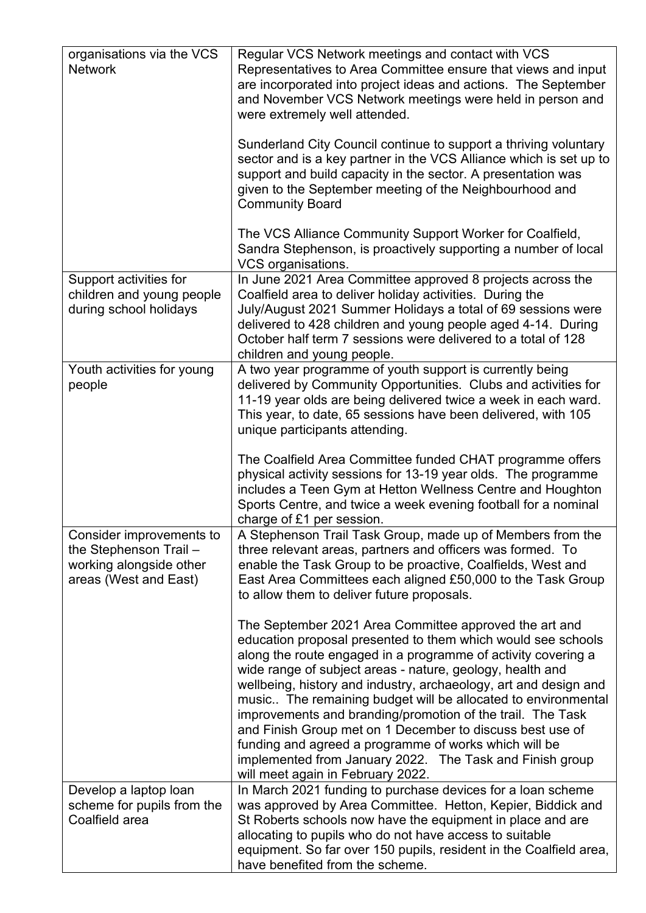| organisations via the VCS<br><b>Network</b>                                                            | Regular VCS Network meetings and contact with VCS<br>Representatives to Area Committee ensure that views and input<br>are incorporated into project ideas and actions. The September<br>and November VCS Network meetings were held in person and<br>were extremely well attended.                                                                                                                                                                                                                                                                                                                                                                                             |
|--------------------------------------------------------------------------------------------------------|--------------------------------------------------------------------------------------------------------------------------------------------------------------------------------------------------------------------------------------------------------------------------------------------------------------------------------------------------------------------------------------------------------------------------------------------------------------------------------------------------------------------------------------------------------------------------------------------------------------------------------------------------------------------------------|
|                                                                                                        | Sunderland City Council continue to support a thriving voluntary<br>sector and is a key partner in the VCS Alliance which is set up to<br>support and build capacity in the sector. A presentation was<br>given to the September meeting of the Neighbourhood and<br><b>Community Board</b>                                                                                                                                                                                                                                                                                                                                                                                    |
|                                                                                                        | The VCS Alliance Community Support Worker for Coalfield,<br>Sandra Stephenson, is proactively supporting a number of local<br>VCS organisations.                                                                                                                                                                                                                                                                                                                                                                                                                                                                                                                               |
| Support activities for<br>children and young people<br>during school holidays                          | In June 2021 Area Committee approved 8 projects across the<br>Coalfield area to deliver holiday activities. During the<br>July/August 2021 Summer Holidays a total of 69 sessions were<br>delivered to 428 children and young people aged 4-14. During<br>October half term 7 sessions were delivered to a total of 128<br>children and young people.                                                                                                                                                                                                                                                                                                                          |
| Youth activities for young<br>people                                                                   | A two year programme of youth support is currently being<br>delivered by Community Opportunities. Clubs and activities for<br>11-19 year olds are being delivered twice a week in each ward.<br>This year, to date, 65 sessions have been delivered, with 105<br>unique participants attending.                                                                                                                                                                                                                                                                                                                                                                                |
|                                                                                                        | The Coalfield Area Committee funded CHAT programme offers<br>physical activity sessions for 13-19 year olds. The programme<br>includes a Teen Gym at Hetton Wellness Centre and Houghton<br>Sports Centre, and twice a week evening football for a nominal<br>charge of £1 per session.                                                                                                                                                                                                                                                                                                                                                                                        |
| Consider improvements to<br>the Stephenson Trail -<br>working alongside other<br>areas (West and East) | A Stephenson Trail Task Group, made up of Members from the<br>three relevant areas, partners and officers was formed. To<br>enable the Task Group to be proactive, Coalfields, West and<br>East Area Committees each aligned £50,000 to the Task Group<br>to allow them to deliver future proposals.                                                                                                                                                                                                                                                                                                                                                                           |
|                                                                                                        | The September 2021 Area Committee approved the art and<br>education proposal presented to them which would see schools<br>along the route engaged in a programme of activity covering a<br>wide range of subject areas - nature, geology, health and<br>wellbeing, history and industry, archaeology, art and design and<br>music The remaining budget will be allocated to environmental<br>improvements and branding/promotion of the trail. The Task<br>and Finish Group met on 1 December to discuss best use of<br>funding and agreed a programme of works which will be<br>implemented from January 2022. The Task and Finish group<br>will meet again in February 2022. |
| Develop a laptop loan<br>scheme for pupils from the<br>Coalfield area                                  | In March 2021 funding to purchase devices for a loan scheme<br>was approved by Area Committee. Hetton, Kepier, Biddick and<br>St Roberts schools now have the equipment in place and are<br>allocating to pupils who do not have access to suitable<br>equipment. So far over 150 pupils, resident in the Coalfield area,<br>have benefited from the scheme.                                                                                                                                                                                                                                                                                                                   |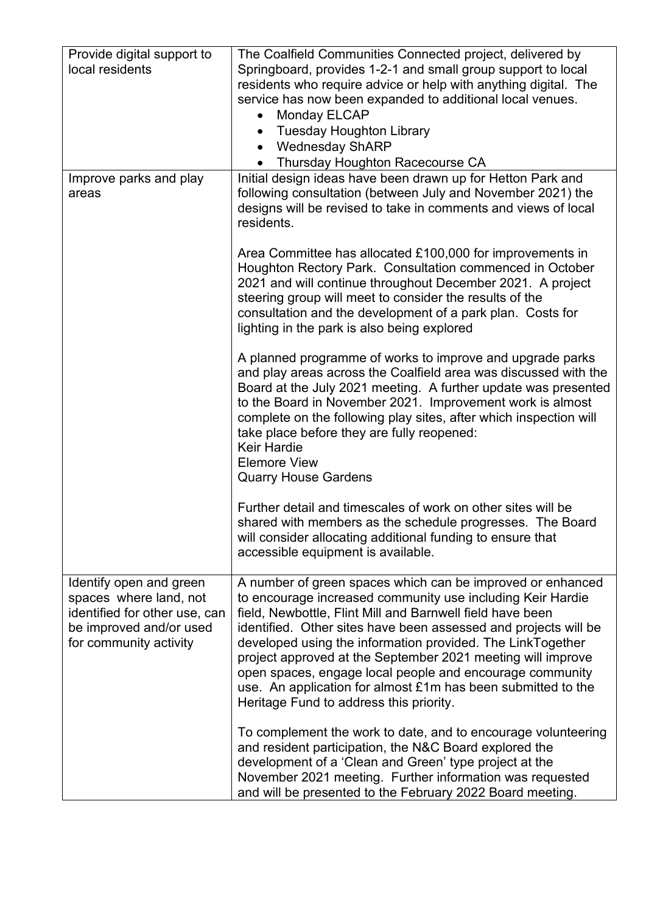| Provide digital support to<br>local residents                                                                                           | The Coalfield Communities Connected project, delivered by<br>Springboard, provides 1-2-1 and small group support to local<br>residents who require advice or help with anything digital. The<br>service has now been expanded to additional local venues.<br><b>Monday ELCAP</b><br><b>Tuesday Houghton Library</b><br><b>Wednesday ShARP</b><br>$\bullet$<br>Thursday Houghton Racecourse CA                                                                                                                                                                |
|-----------------------------------------------------------------------------------------------------------------------------------------|--------------------------------------------------------------------------------------------------------------------------------------------------------------------------------------------------------------------------------------------------------------------------------------------------------------------------------------------------------------------------------------------------------------------------------------------------------------------------------------------------------------------------------------------------------------|
| Improve parks and play<br>areas                                                                                                         | Initial design ideas have been drawn up for Hetton Park and<br>following consultation (between July and November 2021) the<br>designs will be revised to take in comments and views of local<br>residents.                                                                                                                                                                                                                                                                                                                                                   |
|                                                                                                                                         | Area Committee has allocated £100,000 for improvements in<br>Houghton Rectory Park. Consultation commenced in October<br>2021 and will continue throughout December 2021. A project<br>steering group will meet to consider the results of the<br>consultation and the development of a park plan. Costs for<br>lighting in the park is also being explored                                                                                                                                                                                                  |
|                                                                                                                                         | A planned programme of works to improve and upgrade parks<br>and play areas across the Coalfield area was discussed with the<br>Board at the July 2021 meeting. A further update was presented<br>to the Board in November 2021. Improvement work is almost<br>complete on the following play sites, after which inspection will<br>take place before they are fully reopened:<br><b>Keir Hardie</b><br><b>Elemore View</b><br><b>Quarry House Gardens</b>                                                                                                   |
|                                                                                                                                         | Further detail and timescales of work on other sites will be<br>shared with members as the schedule progresses. The Board<br>will consider allocating additional funding to ensure that<br>accessible equipment is available.                                                                                                                                                                                                                                                                                                                                |
| Identify open and green<br>spaces where land, not<br>identified for other use, can<br>be improved and/or used<br>for community activity | A number of green spaces which can be improved or enhanced<br>to encourage increased community use including Keir Hardie<br>field, Newbottle, Flint Mill and Barnwell field have been<br>identified. Other sites have been assessed and projects will be<br>developed using the information provided. The LinkTogether<br>project approved at the September 2021 meeting will improve<br>open spaces, engage local people and encourage community<br>use. An application for almost £1m has been submitted to the<br>Heritage Fund to address this priority. |
|                                                                                                                                         | To complement the work to date, and to encourage volunteering<br>and resident participation, the N&C Board explored the<br>development of a 'Clean and Green' type project at the<br>November 2021 meeting. Further information was requested<br>and will be presented to the February 2022 Board meeting.                                                                                                                                                                                                                                                   |